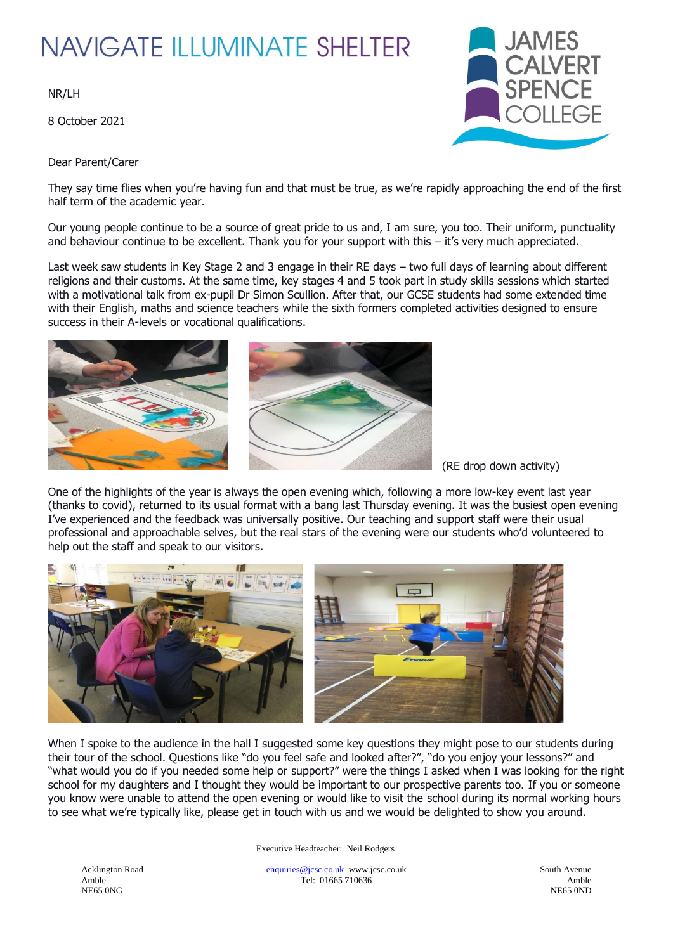## **NAVIGATE ILLUMINATE SHELTER**

NR/LH

8 October 2021



Dear Parent/Carer

They say time flies when you're having fun and that must be true, as we're rapidly approaching the end of the first half term of the academic year.

Our young people continue to be a source of great pride to us and, I am sure, you too. Their uniform, punctuality and behaviour continue to be excellent. Thank you for your support with this – it's very much appreciated.

Last week saw students in Key Stage 2 and 3 engage in their RE days – two full days of learning about different religions and their customs. At the same time, key stages 4 and 5 took part in study skills sessions which started with a motivational talk from ex-pupil Dr Simon Scullion. After that, our GCSE students had some extended time with their English, maths and science teachers while the sixth formers completed activities designed to ensure success in their A-levels or vocational qualifications.



(RE drop down activity)

One of the highlights of the year is always the open evening which, following a more low-key event last year (thanks to covid), returned to its usual format with a bang last Thursday evening. It was the busiest open evening I've experienced and the feedback was universally positive. Our teaching and support staff were their usual professional and approachable selves, but the real stars of the evening were our students who'd volunteered to help out the staff and speak to our visitors.



When I spoke to the audience in the hall I suggested some key questions they might pose to our students during their tour of the school. Questions like "do you feel safe and looked after?", "do you enjoy your lessons?" and "what would you do if you needed some help or support?" were the things I asked when I was looking for the right school for my daughters and I thought they would be important to our prospective parents too. If you or someone you know were unable to attend the open evening or would like to visit the school during its normal working hours to see what we're typically like, please get in touch with us and we would be delighted to show you around.

Executive Headteacher: Neil Rodgers

NE65 ONG NE65 OND NE65 OND NE65 OND NE65 OND NE65 OND NE65 OND NE65 OND NE65 OND NE65 OND NE65 OND

Acklington Road [enquiries@jcsc.co.uk](mailto:enquiries@jcsc.co.uk) www.jcsc.co.uk South Avenue Amble Tel: 01665 710636 Amble NE65 0NG<br>NE65 0NG